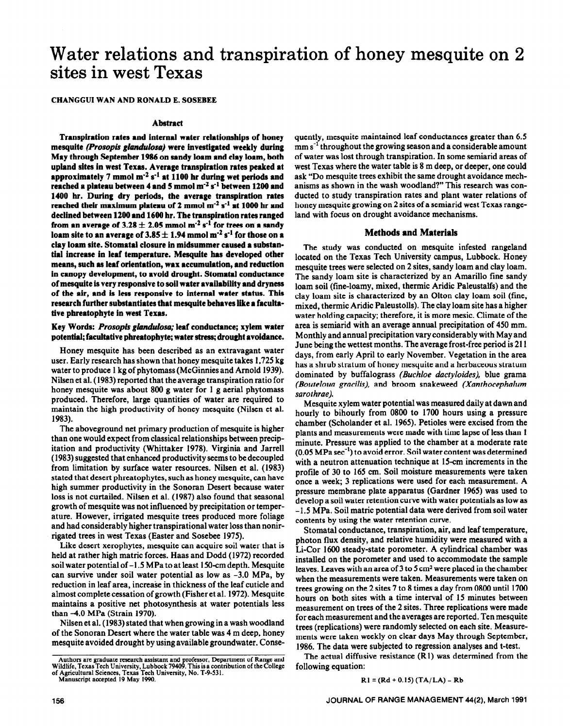# Water relations and transpiration of honey mesquite on 2 sites in west Texas

CHANCGUI WAN AND RONALD E. SOSEBEE

#### **Abstract**

**Transpiration rates and internai water relationships of honey mesquite** *(Prosopis gladulosa)* **were investigated weekly during May through September 1986 on sandy loam and clay loam, both upland sites in west Texas. Average transpiration rates peaked at**  approximately  $7 \text{ mmol m}^{-2} \text{ s}^{-1}$  at  $1100 \text{ hr}$  during wet periods and reached a plateau between 4 and 5 mmol m<sup>-2</sup> s<sup>-1</sup> between 1200 and **1400 hr. During dry periods, the average transpiration rates**  reached their maximum plateau of 2 mmol m<sup>-2</sup> s<sup>-1</sup> at 1000 hr and **declined between 1200 and 1600 hr. The transpiration rates ranged**  from an average of  $3.28 \pm 2.05$  mmol m<sup>-2</sup> s<sup>-1</sup> for trees on a sandy loam site to an average of  $3.85 \pm 1.94$  mmol m<sup>-2</sup> s<sup>-1</sup> for those on a **clay loam site. Stomata1 closure in midsummer caused a substantial increase in leaf temperature. Mesquite has developed other means, such as leaf orientation, wax accumulation, and reduction in canopy development, to avoid drought. Stomatai conductance of mesquite is very responsive to soil water availability and dryness of the air, and is less responsive to internal water status. This research further substantiates that mesquite behaves like a facultative phreatophyte in west Texas.** 

### **Key Words:** *Prosopis glandulosa;* **leaf conductance; xylem water**  potential; facultative phreatophyte; water stress; drought avoidance.

**Honey mesquite has been described as an extravagant water**  user. Early research has shown that honey mesquite takes 1,725 kg water to produce 1 kg of phytomass (McGinnies and Arnold 1939). Nilsen et al. (1983) reported that the average transpiration ratio for honey mesquite was about 800 g water for 1 g aerial phytomass produced. Therefore, large quantities of water are required to maintain the high productivity of honey mesquite (Nilsen et al. 1983).

The aboveground net primary production of mesquite is higher than one would expect from classical relationships between precipitation and productivity (Whittaker 1978). Virginia and Jarreii (1983) suggested that enhanced productivity seems to be decoupled from limitation by surface water resources. Niisen et al. (1983) stated that desert phreatophytes, such as honey mesquite, can have high summer productivity in the Sonoran Desert because water loss is not curtailed. Niisen et al. (1987) also found that seasonal growth of mesquite was not influenced by precipitation or temperature. However, irrigated mesquite trees produced more foliage and had considerably higher transpirational water loss than nonirrigated trees in west Texas (Easter and Sosebee 1975).

Like desert xerophytes, mesquite can acquire soil water that is held at rather high matric forces. Haas and Dodd (1972) recorded soil water potential of -1.5 MPa to at least 15O-cm depth. Mesquite can survive under soil water potential as low as -3.0 MPa, by reduction in leaf area, increase in thickness of the leaf cuticle and almost complete cessation of growth (Fisher et al. 1972). Mesquite maintains a positive net photosynthesis at water potentials less than -4.0 MPa (Strain 1970).

Nilsen et al. (1983) stated that when growing in a wash woodland of the Sonoran Desert where the water table was 4 m deep, honey mesquite avoided drought by using available groundwater. Consequently, mesquite maintained leaf conductances greater than 6.5  $\text{mm s}^{-1}$  throughout the growing season and a considerable amount of water was lost through transpiration. In some semiarid areas of west Texas where the water table is 8 m deep, or deeper, one could ask "DO mesquite trees exhibit the same drought avoidance mechanisms as shown in the wash woodland?" This research was conducted to study transpiration rates and plant water relations of honey mesquite growing on 2 sites of a semiarid west Texas rangeland with focus on drought avoidance mechanisms.

#### **Methods and Materials**

**The** study was conducted on mesquite infested rangeland located on the Texas Tech University campus, Lubbock. Honey mesquite trees were selected on 2 sites, sandy loam and clay loam. The sandy loam site is characterized by an Amarillo fine sandy loam soil (fine-loamy, mixed, thermic Aridic Paleustalfs) and the clay loam site is characterized by an Oiton clay loam soil (fine, mixed, thermic Aridic Paieustoiis). The clay loam site has a higher water holding capacity; therefore, it is more mesic. Climate of the area is semiarid with an average annual precipitation of 450 mm. Monthly and annual precipitation vary considerably with May and June being the wettest months. The average frost-free period is 211 days, from early April to early November. Vegetation in the area has a shrub stratum of honey mesquite and a herbaceous stratum dominated by buffalograss *(Buchloe dactyloides),* blue grama *(Bouteloua gracilis),* and broom snakeweed *(Xanthocephalum sarothrae).* 

Mesquite xylem water potential was measured daily at dawn and hourly to bihouriy from 0800 to 1700 hours using a pressure chamber (Scholander et al. 1965). Petioles were excised from the plants and measurements were made with time lapse of less than 1 minute. Pressure was applied to the chamber at a moderate rate  $(0.05 \text{ MPa sec}^{-1})$  to avoid error. Soil water content was determined with a neutron attenuation technique at 15-cm increments in the profile of 30 to 165 cm. Soil moisture measurements yere taken once a week; 3 replications were used for each measurement. A pressure membrane plate apparatus (Gardner 1965) was used to develop a soil water retention curve with water potentials as low as -1.5 MPa. Soil matric potential data were derived from soil water contents by using the water retention curve.

Stomata1 conductance, transpiration, air, and leaf temperature, photon flux density, and relative humidity were measured with a Li-Cor 1600 steady-state porometer. A cylindrical chamber was installed on the porometer and used to accommodate the sample leaves. Leaves with an area of 3 to *5* cm2 were placed in the chamber when the measurements were taken. Measurements were taken on trees growing on the 2 sites 7 to 8 times a day from 0800 until 1700 hours on both sites with a time interval of 15 minutes between measurement on trees of the 2 sites. Three replications were made for each measurement and the averages are reported. Ten mesquite trees (replications) were randomly selected on each site. Measurements were taken weekly on clear days May through September, 1986. The data were subjected to regression analyses and t-test.

The actual diffusive resistance (Ri) was determined from the following equation:

$$
R1 = (Rd + 0.15) (TA/LA) - Rb
$$

**Authors are graduate research assistant and professor, Department of Range and Wildlife, Texas Tech University, Lubbock 79409. This is a contribution of the College of Agricultural Sciences, Texas Tech University, No. T-9-531.** 

**Manuscript accepted 19 May 1990.**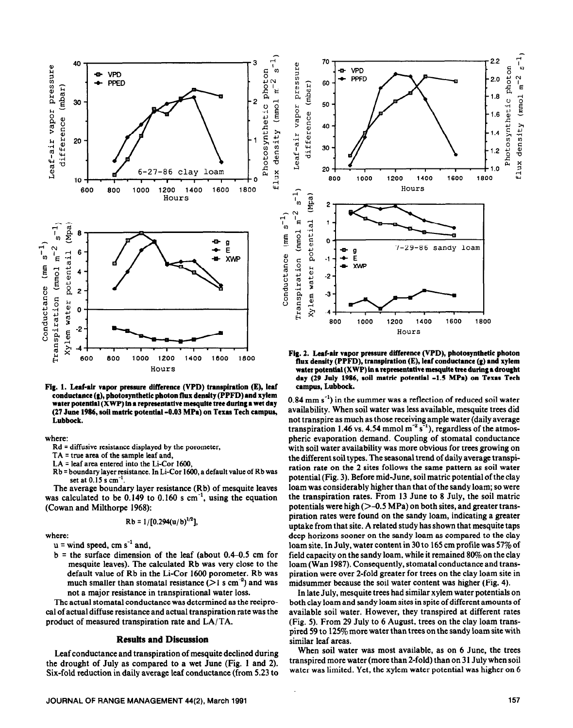

**Fig. 1. Leaf-xir vapor pressure difference (VPD) transpiration (E), leaf conductance (g), photosynthetic photon flux density (PPFD) and xylem**  water potential (XWP) in a representative mesquite tree during a wet day **(27 June 1986, soil metric potential -0.03 MPa) on Texas Tech campus, Lubbock.** 

where:

**Rd = diffusive resistance displayed by the porometer,** 

**TA = true area of the sample baf and,** 

- **LA = leaf area entered into the Li-Cor 1600,**
- Rb = boundary layer resistance. In Li-Cor 1600, a default value of Rb was **set at 0.15 s cm-'.**

**The** average boundary layer resistance (Rb) of mesquite leaves was calculated to be  $0.149$  to  $0.160$  s cm<sup>-1</sup>, using the equation (Cowan and Milthorpe 1968):

$$
Rb = 1/[0.294(u/b)^{1/2}]
$$

where:

 $u =$  wind speed, cm s<sup>-1</sup> and,

 $b =$  the surface dimension of the leaf (about 0.4-0.5 cm for mesquite leaves). The calculated Rb was very close to the default value of Rb in the Li-Cor 1600 porometer. Rb was much smaller than stomatal resistance ( $>$ 1 s cm<sup>-2</sup>) and was not a major resistance in transpirational water loss.

The actual stomata1 conductance was determined as the reciprocal of actual diffuse resistance and actual transpiration rate was the product of measured transpiration rate and LA/TA.

## **Results and Discussion**

Leaf conductance and transpiration of mesquite declined during the drought of July as compared to a wet June (Fig. 1 and 2). Six-fold reduction in daily average leaf conductance (from 5.23 to



**Fig. 2. Leaf-air vapor pressure difference (VPD), photosynthetic photon**  flux density (PPFD), transpiration (E), leaf conductance (g) and xylem **water potential (XWP) in a representative mesqutte tree during 8 drought day (29 July 1986, soil metric potential -1.5 MPa) on Texas Tech campus, Lubbock.** 

 $0.84$  mm s<sup>-1</sup>) in the summer was a reflection of reduced soil water availability. When soil water was less available, mesquite trees did not transpire as much as those receiving ample water (daily average transpiration 1.46 vs. 4.54 mmol  $m^{-2} s^{-1}$ ), regardless of the atmospheric evaporation demand. Coupling of stomatal conductance with soil water availability was more obvious for trees growing on the different soil types. The seasonal trend of daily average transpiration rate on the 2 sites follows the same pattern as soil water potential (Fig. 3). Before mid-June, soil matric potential of the clay loam was considerably higher than that of the sandy loam; so were the transpiration rates. From 13 June to 8 July, the soil matric potentials were high  $(>-0.5 \text{ MPa})$  on both sites, and greater transpiration rates were found on the sandy loam, indicating a greater uptake from that site. A related study has shown that mesquite taps deep horizons sooner on the sandy loam as compared to the clay loam site. In July, water content in 30 to 165 cm profile was  $57\%$  of field capacity on the sandy loam, while it remained 80% on the clay loam (Wan 1987). Consequently, stomatal conductance and transpiration were over 2-fold greater for trees on the clay loam site in midsummer because the soil water content was higher (Fig. 4).

In late July, mesquite trees had similar xylem water potentials on both clay loam and sandy loam sites in spite of different amounts of available soil water. However, they transpired at different rates (Fig. 5). From 29 July to 6 August, trees on the clay loam transpired 59 to 125% more water than trees on the sandy loam site with similar leaf areas.

When soil water was most available, as on 6 June, the trees transpired more water (more than 2-fold) than on 31 July when soil water was limited. Yet, the xylem water potential was higher on 6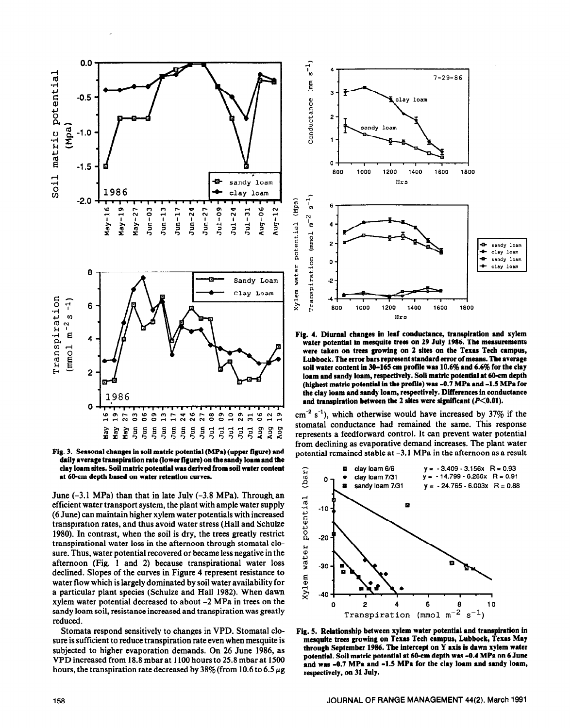



June  $(-3.1 \text{ MPa})$  than that in late July  $(-3.8 \text{ MPa})$ . Through an efficient water transport system, the plant with ample water supply (6 June) can maintain higher xylem water potentials with increased transpiration rates, and thus avoid water stress (Hall and Schulze 1980). In contrast, when the soil is dry, the trees greatly restrict transpirational water loss in the afternoon through stomatal closure. Thus, water potential recovered or became less negative in the afternoon (Fig. 1 and 2) because transpirational water loss declined. Slopes of the curves in Figure 4 represent resistance to water flow which is largely dominated by soil water availability for a particular plant species (Schulze and Hall 1982). When dawn xylem water potential decreased to about -2 MPa in trees on the sandy loam soil, resistance increased and transpiration was greatly reduced.

Stomata respond sensitively to changes in VPD. Stomatal closure is sufficient to reduce transpiration rate even when mesquite is subjected to higher evaporation demands. On 26 June 1986, as VPD increased from 18.8 mbar at 1100 hours to 25.8 mbar at 1500 hours, the transpiration rate decreased by  $38\%$  (from 10.6 to 6.5  $\mu$ g)



**Fig. 4. Diurnal changes in leaf conductance, transpiration and xylem water potential in mesquite trees on 29 July 1986. The measurements were taken on trees growing on 2 sites on the Texas Tech campus, Lubbock. The error bars represent standard error of means. The average soil water content in 30-165 cm profile was 10.6% and 6.6% for the clay loam and sandy loam, respectively. Soil metric potential at 60-cm depth (highest matric potential in the proflle) was -0.7 MPa and -1.5 MPa for the clay loam and sandy lorm, respectively. Differences in conductance**  and transpiration between the 2 sites were significant (P<0.01).

 $\text{cm}^{-2}$  s<sup>-1</sup>), which otherwise would have increased by 37% if the stomata1 conductance had remained the same. This response represents a feedforward control. It can prevent water potential from declining as evaporative demand increases. The plant water potential remained stable at -3.1 MPa in the afternoon as a result



**Fig. 5. Relationship between xylem water potential and transpiration in mesquite trees growing on Texas Tech campus, Lubbock, Texas May through September 1986. The Intercept on Y axis is dawn xylem water potential. Soil metric potential at 6O-cm depth was -0.4 MPa on 6 June**  and was -0.7 MPa and -1.5 MPa for the clay loam and sandy loam, **respectively, on 31 July.**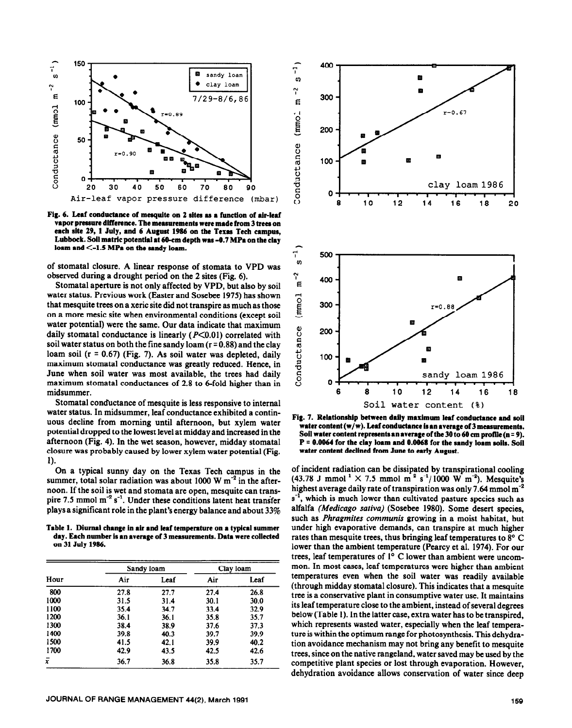

Fig. 6. Leaf conductance of mesquite on 2 sites as a function of air-leaf vapor pressure difference. The measurements were made from 3 trees on each site 29, 1 July, and 6 August 1986 on the Texas Tech campus, Lubbock. Soil matric potential at 60-cm depth was -0.7 MPa on the clay loam and  $\leq$ -1.5 MPa on the sandy loam.

of stomata1 closure. A linear response of stomata to VPD was observed during a drought period on the 2 sites (Fig. 6).

Stomata1 aperture is not only affected by VPD, but also by soil water status. Previous work (Easter and Sosebee 1975) has shown that mesquite trees on a xeric site did not transpire as much as those on a more mesic site when environmental conditions (except soil water potential) were the same. Our data indicate that maximum daily stomatal conductance is linearly  $(P<0.01)$  correlated with soil water status on both the fine sandy loam  $(r = 0.88)$  and the clay loam soil (r = 0.67) (Fig. 7). As soil water was depleted, daily maximum stomatal conductance was greatly reduced. Hence, in June when soil water was most available, the trees had daily maximum stomata1 conductances of 2.8 to 6-fold higher than in midsummer.

Stomata1 conductance of mesquite is less responsive to internal water status. In midsummer, leaf conductance exhibited a continuous decline from morning until afternoon, but xylem water potential dropped to the lowest level at midday and increased in the afternoon (Fig. 4). In the wet season, however, midday stomata1 closure was probably caused by lower xylem water potential (Fig. 1).

On a typical sunny day on the Texas Tech campus in the summer, total solar radiation was about 1000 W  $m<sup>-2</sup>$  in the afternoon. If the soil is wet and stomata are open, mesquite can transpire 7.5 mmol  $m^{-2} s^{-1}$ . Under these conditions latent heat transfer plays a significant role in the plant's energy balance and about 33%

Table 1. Diurnal change in air and leaf temperature on a typical summer day. Each number is an average of 3 measurements. Data were collected **on 31 July 1986.** 

| Hour | Sandy loam |      | Clay loam |      |
|------|------------|------|-----------|------|
|      | Air        | Leaf | Air       | Leaf |
| 800  | 27.8       | 27.7 | 27.4      | 26.8 |
| 1000 | 31.5       | 31.4 | 30.1      | 30.0 |
| 1100 | 35.4       | 34.7 | 33.4      | 32.9 |
| 1200 | 36.1       | 36.1 | 35.8      | 35.7 |
| 1300 | 38.4       | 38.9 | 37.6      | 37.3 |
| 1400 | 39.8       | 40.3 | 39.7      | 39.9 |
| 1500 | 41.5       | 42.1 | 39.9      | 40.2 |
| 1700 | 42.9       | 43.5 | 42.5      | 42.6 |
| ī    | 36.7       | 36.8 | 35.8      | 35.7 |



Fig. 7. Relationship between daily maximum leaf conductance and soil water content (w/w). Leaf conductance is an average of 3 measurements. Soil water content represents an average of the 30 to 60 cm profile (n = 9). **P** = 0.0064 for the clay loam and 0.0068 for the sandy loam soils. Soil water content declined from June to early August.

of incident radiation can be dissipated by transpirational cooling  $(43.78$  J mmol<sup>-1</sup>  $\times$  7.5 mmol m<sup>-2</sup> s<sup>-1</sup>/1000 W m<sup>-2</sup>). Mesquite's highest average daily rate of transpiration was only 7.64 mmol  $m^{-2}$  $s^{-1}$ , which is much lower than cultivated pasture species such as alfalfa *(Medicago sutivu) (Sosebee 1980).* Some desert species, such as *Phragmites communis* growing in a moist habitat, but under high evaporative demands, can transpire at much higher rates than mesquite trees, thus bringing leaf temperatures to 8° C lower than the ambient temperature (Pearcy et al. 1974). For our trees, leaf temperatures of  $1^{\circ}$  C lower than ambient were uncommon. In most cases, leaf temperatures were higher than ambient temperatures even when the soil water was readily available (through midday stomata1 closure). This indicates that a mesquite tree is a conservative plant in consumptive water use. It maintains its leaf temperature close to the ambient, instead of several degrees below (Table 1). In the latter case, extra water has to be transpired, which represents wasted water, especially when the leaf temperature is within the optimum range for photosynthesis. This dehydration avoidance mechanism may not bring any benefit to mesquite trees, since on the native rangeland, water saved may be used by the competitive plant species or lost through evaporation. However, dehydration avoidance allows conservation of water since deep